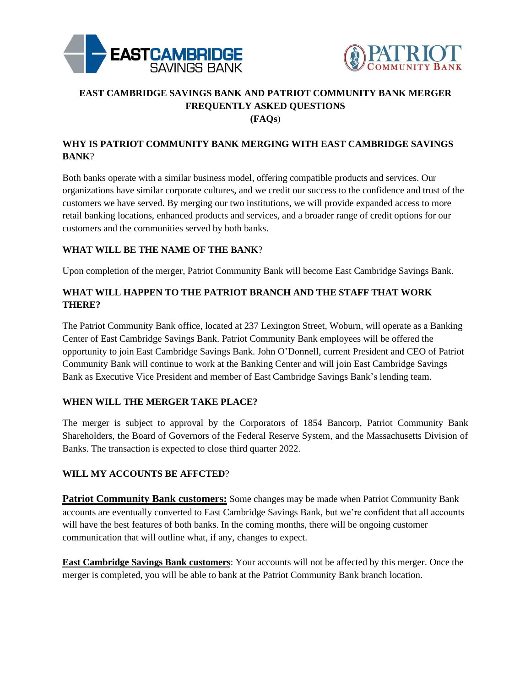



# **EAST CAMBRIDGE SAVINGS BANK AND PATRIOT COMMUNITY BANK MERGER FREQUENTLY ASKED QUESTIONS (FAQs**)

# **WHY IS PATRIOT COMMUNITY BANK MERGING WITH EAST CAMBRIDGE SAVINGS BANK**?

Both banks operate with a similar business model, offering compatible products and services. Our organizations have similar corporate cultures, and we credit our success to the confidence and trust of the customers we have served. By merging our two institutions, we will provide expanded access to more retail banking locations, enhanced products and services, and a broader range of credit options for our customers and the communities served by both banks.

## **WHAT WILL BE THE NAME OF THE BANK**?

Upon completion of the merger, Patriot Community Bank will become East Cambridge Savings Bank.

# **WHAT WILL HAPPEN TO THE PATRIOT BRANCH AND THE STAFF THAT WORK THERE?**

The Patriot Community Bank office, located at 237 Lexington Street, Woburn, will operate as a Banking Center of East Cambridge Savings Bank. Patriot Community Bank employees will be offered the opportunity to join East Cambridge Savings Bank. John O'Donnell, current President and CEO of Patriot Community Bank will continue to work at the Banking Center and will join East Cambridge Savings Bank as Executive Vice President and member of East Cambridge Savings Bank's lending team.

#### **WHEN WILL THE MERGER TAKE PLACE?**

The merger is subject to approval by the Corporators of 1854 Bancorp, Patriot Community Bank Shareholders, the Board of Governors of the Federal Reserve System, and the Massachusetts Division of Banks. The transaction is expected to close third quarter 2022.

#### **WILL MY ACCOUNTS BE AFFCTED**?

**Patriot Community Bank customers:** Some changes may be made when Patriot Community Bank accounts are eventually converted to East Cambridge Savings Bank, but we're confident that all accounts will have the best features of both banks. In the coming months, there will be ongoing customer communication that will outline what, if any, changes to expect.

**East Cambridge Savings Bank customers**: Your accounts will not be affected by this merger. Once the merger is completed, you will be able to bank at the Patriot Community Bank branch location.